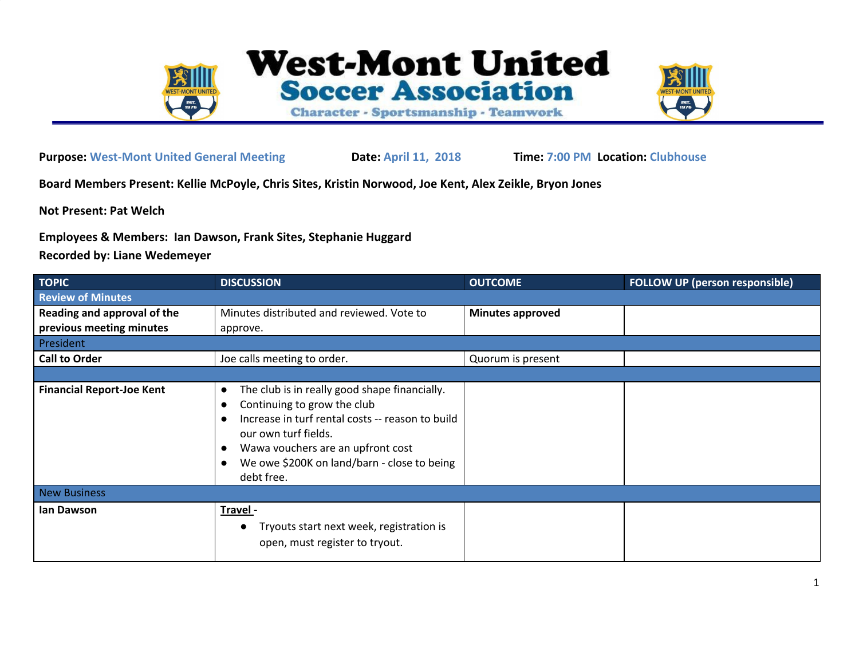

**Purpose: West-Mont United General Meeting Date: April 11, 2018 Time: 7:00 PM Location: Clubhouse**

**Board Members Present: Kellie McPoyle, Chris Sites, Kristin Norwood, Joe Kent, Alex Zeikle, Bryon Jones**

**Not Present: Pat Welch**

**Employees & Members: Ian Dawson, Frank Sites, Stephanie Huggard**

**Recorded by: Liane Wedemeyer**

| <b>TOPIC</b>                     | <b>DISCUSSION</b>                                                                                                                                                                                                                                          | <b>OUTCOME</b>          | <b>FOLLOW UP (person responsible)</b> |  |
|----------------------------------|------------------------------------------------------------------------------------------------------------------------------------------------------------------------------------------------------------------------------------------------------------|-------------------------|---------------------------------------|--|
| <b>Review of Minutes</b>         |                                                                                                                                                                                                                                                            |                         |                                       |  |
| Reading and approval of the      | Minutes distributed and reviewed. Vote to                                                                                                                                                                                                                  | <b>Minutes approved</b> |                                       |  |
| previous meeting minutes         | approve.                                                                                                                                                                                                                                                   |                         |                                       |  |
| President                        |                                                                                                                                                                                                                                                            |                         |                                       |  |
| <b>Call to Order</b>             | Joe calls meeting to order.                                                                                                                                                                                                                                | Quorum is present       |                                       |  |
|                                  |                                                                                                                                                                                                                                                            |                         |                                       |  |
| <b>Financial Report-Joe Kent</b> | The club is in really good shape financially.<br>Continuing to grow the club<br>Increase in turf rental costs -- reason to build<br>our own turf fields.<br>Wawa vouchers are an upfront cost<br>We owe \$200K on land/barn - close to being<br>debt free. |                         |                                       |  |
| <b>New Business</b>              |                                                                                                                                                                                                                                                            |                         |                                       |  |
| lan Dawson                       | Travel-<br>Tryouts start next week, registration is<br>open, must register to tryout.                                                                                                                                                                      |                         |                                       |  |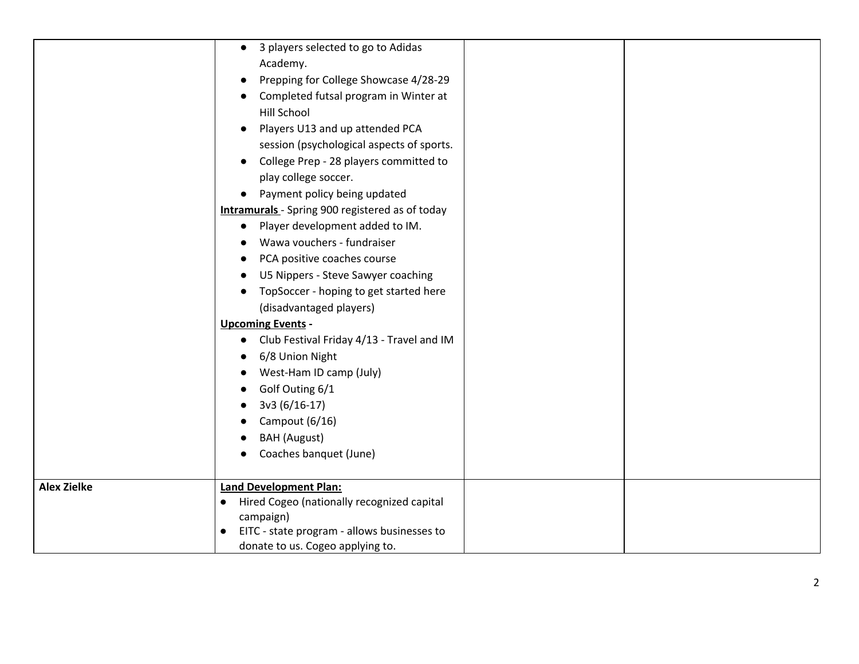|                    | 3 players selected to go to Adidas<br>$\bullet$<br>Academy.<br>Prepping for College Showcase 4/28-29<br>Completed futsal program in Winter at<br><b>Hill School</b><br>Players U13 and up attended PCA<br>session (psychological aspects of sports.<br>College Prep - 28 players committed to<br>play college soccer.<br>Payment policy being updated<br><b>Intramurals</b> - Spring 900 registered as of today<br>Player development added to IM.<br>Wawa vouchers - fundraiser<br>PCA positive coaches course<br>U5 Nippers - Steve Sawyer coaching<br>TopSoccer - hoping to get started here<br>(disadvantaged players)<br><b>Upcoming Events -</b><br>Club Festival Friday 4/13 - Travel and IM<br>$\bullet$<br>6/8 Union Night<br>West-Ham ID camp (July) |  |
|--------------------|----------------------------------------------------------------------------------------------------------------------------------------------------------------------------------------------------------------------------------------------------------------------------------------------------------------------------------------------------------------------------------------------------------------------------------------------------------------------------------------------------------------------------------------------------------------------------------------------------------------------------------------------------------------------------------------------------------------------------------------------------------------|--|
|                    |                                                                                                                                                                                                                                                                                                                                                                                                                                                                                                                                                                                                                                                                                                                                                                |  |
|                    |                                                                                                                                                                                                                                                                                                                                                                                                                                                                                                                                                                                                                                                                                                                                                                |  |
|                    |                                                                                                                                                                                                                                                                                                                                                                                                                                                                                                                                                                                                                                                                                                                                                                |  |
|                    |                                                                                                                                                                                                                                                                                                                                                                                                                                                                                                                                                                                                                                                                                                                                                                |  |
|                    | Golf Outing 6/1                                                                                                                                                                                                                                                                                                                                                                                                                                                                                                                                                                                                                                                                                                                                                |  |
|                    | 3v3 (6/16-17)                                                                                                                                                                                                                                                                                                                                                                                                                                                                                                                                                                                                                                                                                                                                                  |  |
|                    | Campout (6/16)                                                                                                                                                                                                                                                                                                                                                                                                                                                                                                                                                                                                                                                                                                                                                 |  |
|                    | <b>BAH</b> (August)                                                                                                                                                                                                                                                                                                                                                                                                                                                                                                                                                                                                                                                                                                                                            |  |
|                    | Coaches banquet (June)                                                                                                                                                                                                                                                                                                                                                                                                                                                                                                                                                                                                                                                                                                                                         |  |
| <b>Alex Zielke</b> | <b>Land Development Plan:</b>                                                                                                                                                                                                                                                                                                                                                                                                                                                                                                                                                                                                                                                                                                                                  |  |
|                    | Hired Cogeo (nationally recognized capital<br>$\bullet$                                                                                                                                                                                                                                                                                                                                                                                                                                                                                                                                                                                                                                                                                                        |  |
|                    | campaign)                                                                                                                                                                                                                                                                                                                                                                                                                                                                                                                                                                                                                                                                                                                                                      |  |
|                    | EITC - state program - allows businesses to<br>$\bullet$<br>donate to us. Cogeo applying to.                                                                                                                                                                                                                                                                                                                                                                                                                                                                                                                                                                                                                                                                   |  |
|                    |                                                                                                                                                                                                                                                                                                                                                                                                                                                                                                                                                                                                                                                                                                                                                                |  |